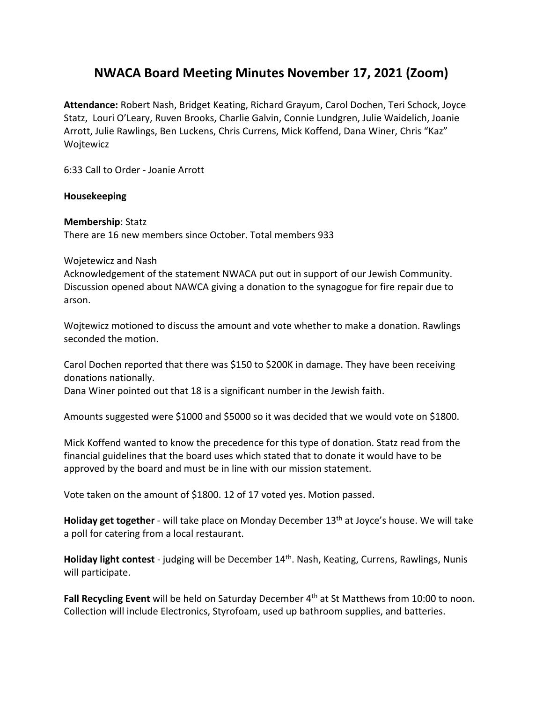## **NWACA Board Meeting Minutes November 17, 2021 (Zoom)**

**Attendance:** Robert Nash, Bridget Keating, Richard Grayum, Carol Dochen, Teri Schock, Joyce Statz, Louri O'Leary, Ruven Brooks, Charlie Galvin, Connie Lundgren, Julie Waidelich, Joanie Arrott, Julie Rawlings, Ben Luckens, Chris Currens, Mick Koffend, Dana Winer, Chris "Kaz" Wojtewicz

6:33 Call to Order ‐ Joanie Arrott

#### **Housekeeping**

#### **Membership**: Statz

There are 16 new members since October. Total members 933

#### Wojetewicz and Nash

Acknowledgement of the statement NWACA put out in support of our Jewish Community. Discussion opened about NAWCA giving a donation to the synagogue for fire repair due to arson.

Wojtewicz motioned to discuss the amount and vote whether to make a donation. Rawlings seconded the motion.

Carol Dochen reported that there was \$150 to \$200K in damage. They have been receiving donations nationally.

Dana Winer pointed out that 18 is a significant number in the Jewish faith.

Amounts suggested were \$1000 and \$5000 so it was decided that we would vote on \$1800.

Mick Koffend wanted to know the precedence for this type of donation. Statz read from the financial guidelines that the board uses which stated that to donate it would have to be approved by the board and must be in line with our mission statement.

Vote taken on the amount of \$1800. 12 of 17 voted yes. Motion passed.

**Holiday get together** - will take place on Monday December 13<sup>th</sup> at Joyce's house. We will take a poll for catering from a local restaurant.

**Holiday light contest** ‐ judging will be December 14th. Nash, Keating, Currens, Rawlings, Nunis will participate.

Fall Recycling Event will be held on Saturday December 4<sup>th</sup> at St Matthews from 10:00 to noon. Collection will include Electronics, Styrofoam, used up bathroom supplies, and batteries.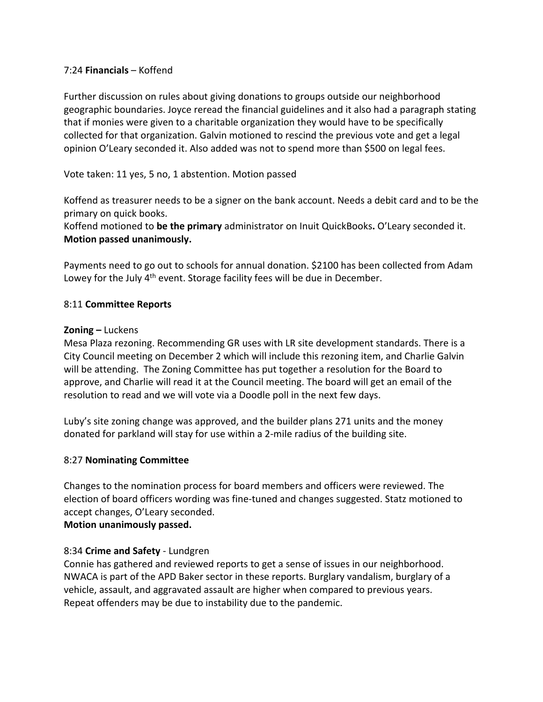#### 7:24 **Financials** – Koffend

Further discussion on rules about giving donations to groups outside our neighborhood geographic boundaries. Joyce reread the financial guidelines and it also had a paragraph stating that if monies were given to a charitable organization they would have to be specifically collected for that organization. Galvin motioned to rescind the previous vote and get a legal opinion O'Leary seconded it. Also added was not to spend more than \$500 on legal fees.

### Vote taken: 11 yes, 5 no, 1 abstention. Motion passed

Koffend as treasurer needs to be a signer on the bank account. Needs a debit card and to be the primary on quick books.

Koffend motioned to **be the primary** administrator on Inuit QuickBooks**.** O'Leary seconded it. **Motion passed unanimously.** 

Payments need to go out to schools for annual donation. \$2100 has been collected from Adam Lowey for the July 4<sup>th</sup> event. Storage facility fees will be due in December.

#### 8:11 **Committee Reports**

#### **Zoning –** Luckens

Mesa Plaza rezoning. Recommending GR uses with LR site development standards. There is a City Council meeting on December 2 which will include this rezoning item, and Charlie Galvin will be attending. The Zoning Committee has put together a resolution for the Board to approve, and Charlie will read it at the Council meeting. The board will get an email of the resolution to read and we will vote via a Doodle poll in the next few days.

Luby's site zoning change was approved, and the builder plans 271 units and the money donated for parkland will stay for use within a 2‐mile radius of the building site.

#### 8:27 **Nominating Committee**

Changes to the nomination process for board members and officers were reviewed. The election of board officers wording was fine‐tuned and changes suggested. Statz motioned to accept changes, O'Leary seconded. **Motion unanimously passed.** 

# 8:34 **Crime and Safety** ‐ Lundgren

Connie has gathered and reviewed reports to get a sense of issues in our neighborhood. NWACA is part of the APD Baker sector in these reports. Burglary vandalism, burglary of a vehicle, assault, and aggravated assault are higher when compared to previous years. Repeat offenders may be due to instability due to the pandemic.